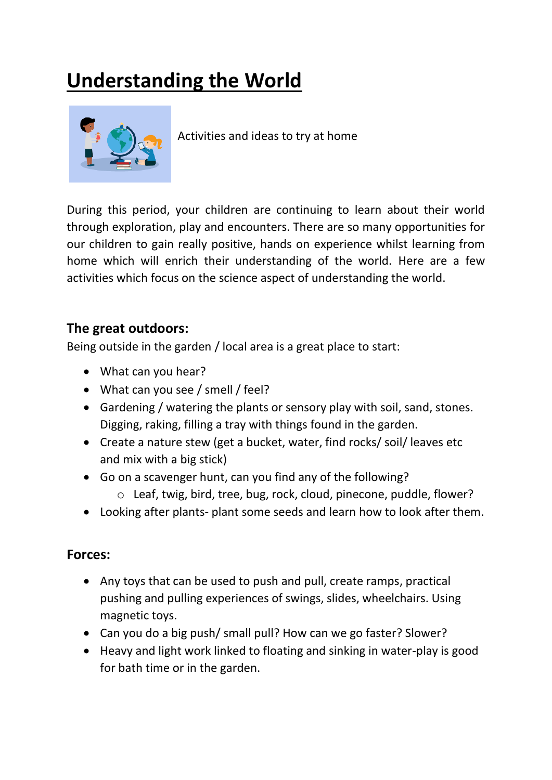# **Understanding the World**



Activities and ideas to try at home

During this period, your children are continuing to learn about their world through exploration, play and encounters. There are so many opportunities for our children to gain really positive, hands on experience whilst learning from home which will enrich their understanding of the world. Here are a few activities which focus on the science aspect of understanding the world.

# **The great outdoors:**

Being outside in the garden / local area is a great place to start:

- What can you hear?
- What can you see / smell / feel?
- Gardening / watering the plants or sensory play with soil, sand, stones. Digging, raking, filling a tray with things found in the garden.
- Create a nature stew (get a bucket, water, find rocks/ soil/ leaves etc and mix with a big stick)
- Go on a scavenger hunt, can you find any of the following?
	- o Leaf, twig, bird, tree, bug, rock, cloud, pinecone, puddle, flower?
- Looking after plants- plant some seeds and learn how to look after them.

# **Forces:**

- Any toys that can be used to push and pull, create ramps, practical pushing and pulling experiences of swings, slides, wheelchairs. Using magnetic toys.
- Can you do a big push/ small pull? How can we go faster? Slower?
- Heavy and light work linked to floating and sinking in water-play is good for bath time or in the garden.